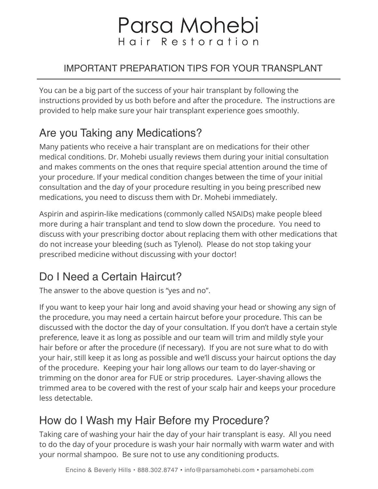# Parsa Mohebi Hair Restoration

#### IMPORTANT PREPARATION TIPS FOR YOUR TRANSPLANT

You can be a big part of the success of your hair transplant by following the instructions provided by us both before and after the procedure. The instructions are provided to help make sure your hair transplant experience goes smoothly.

# Are you Taking any Medications?

Many patients who receive a hair transplant are on medications for their other medical conditions. Dr. Mohebi usually reviews them during your initial consultation and makes comments on the ones that require special attention around the time of your procedure. If your medical condition changes between the time of your initial consultation and the day of your procedure resulting in you being prescribed new medications, you need to discuss them with Dr. Mohebi immediately.

Aspirin and aspirin-like medications (commonly called NSAIDs) make people bleed more during a hair transplant and tend to slow down the procedure. You need to discuss with your prescribing doctor about replacing them with other medications that do not increase your bleeding (such as Tylenol). Please do not stop taking your prescribed medicine without discussing with your doctor!

# Do I Need a Certain Haircut?

The answer to the above question is "yes and no".

If you want to keep your hair long and avoid shaving your head or showing any sign of the procedure, you may need a certain haircut before your procedure. This can be discussed with the doctor the day of your consultation. If you don't have a certain style preference, leave it as long as possible and our team will trim and mildly style your hair before or after the procedure (if necessary). If you are not sure what to do with your hair, still keep it as long as possible and we'll discuss your haircut options the day of the procedure. Keeping your hair long allows our team to do layer-shaving or trimming on the donor area for FUE or strip procedures. Layer-shaving allows the trimmed area to be covered with the rest of your scalp hair and keeps your procedure less detectable.

## How do I Wash my Hair Before my Procedure?

Taking care of washing your hair the day of your hair transplant is easy. All you need to do the day of your procedure is wash your hair normally with warm water and with your normal shampoo. Be sure not to use any conditioning products.